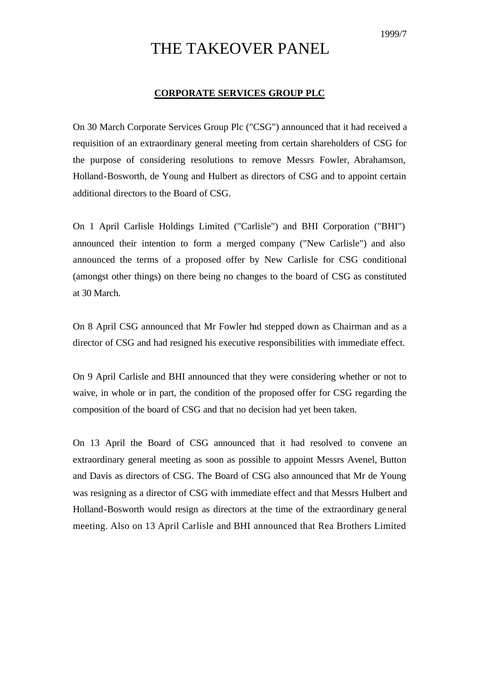## THE TAKEOVER PANEL

## **CORPORATE SERVICES GROUP PLC**

On 30 March Corporate Services Group Plc ("CSG") announced that it had received a requisition of an extraordinary general meeting from certain shareholders of CSG for the purpose of considering resolutions to remove Messrs Fowler, Abrahamson, Holland-Bosworth, de Young and Hulbert as directors of CSG and to appoint certain additional directors to the Board of CSG.

On 1 April Carlisle Holdings Limited ("Carlisle") and BHI Corporation ("BHI") announced their intention to form a merged company ("New Carlisle") and also announced the terms of a proposed offer by New Carlisle for CSG conditional (amongst other things) on there being no changes to the board of CSG as constituted at 30 March.

On 8 April CSG announced that Mr Fowler had stepped down as Chairman and as a director of CSG and had resigned his executive responsibilities with immediate effect.

On 9 April Carlisle and BHI announced that they were considering whether or not to waive, in whole or in part, the condition of the proposed offer for CSG regarding the composition of the board of CSG and that no decision had yet been taken.

On 13 April the Board of CSG announced that it had resolved to convene an extraordinary general meeting as soon as possible to appoint Messrs Avenel, Button and Davis as directors of CSG. The Board of CSG also announced that Mr de Young was resigning as a director of CSG with immediate effect and that Messrs Hulbert and Holland-Bosworth would resign as directors at the time of the extraordinary general meeting. Also on 13 April Carlisle and BHI announced that Rea Brothers Limited